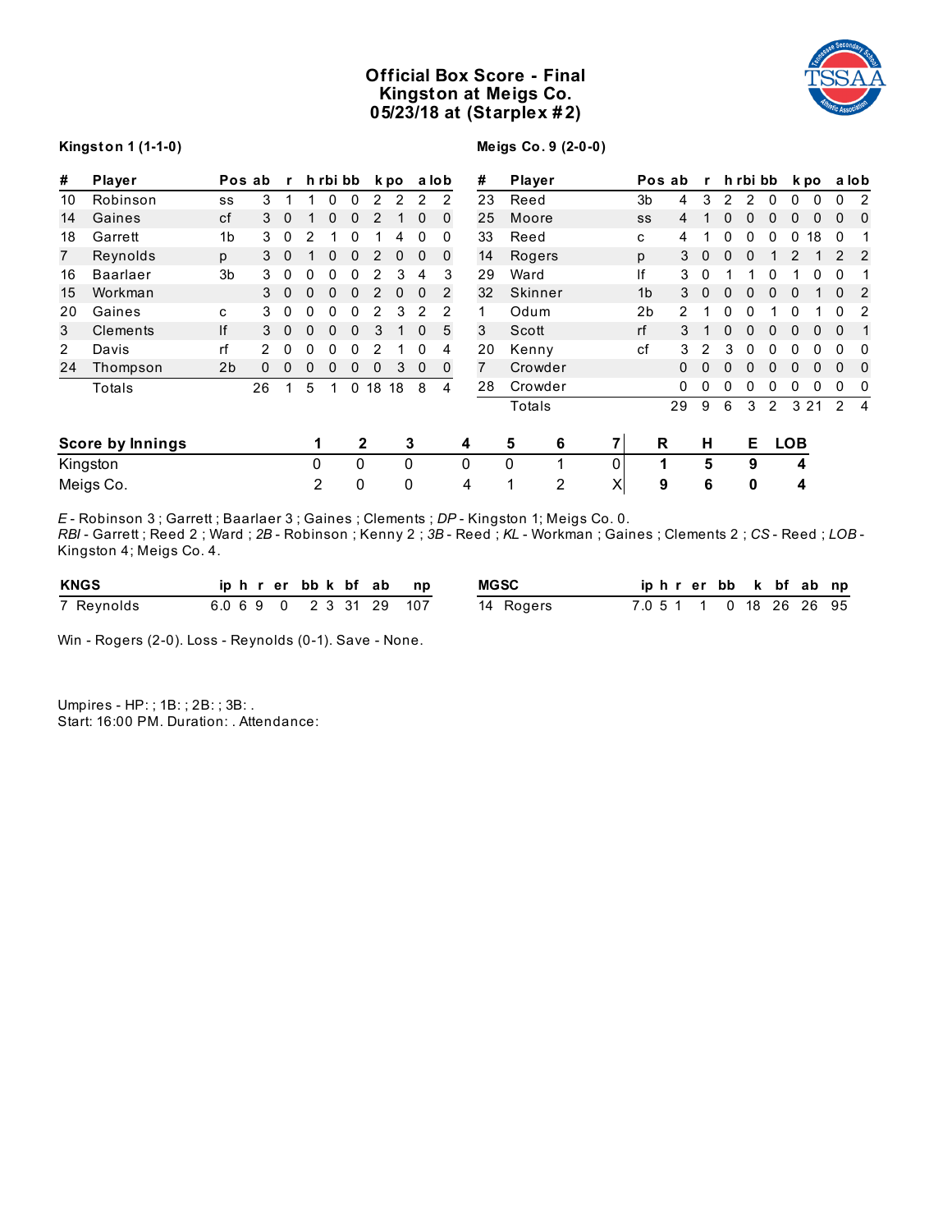# **Official Box Score - Final Kingston at Meigs Co. 05/23/18 at (Starplex # 2)**



## **Kingston 1 (1-1-0)**

**Meigs Co. 9 (2-0-0)**

| #  | Player                  |                | Pos ab | $\mathbf{r}$ |                | h rbi bb     |              |    | k po     |             | a lob        |   | #              | Player  |          | Pos ab         |    | $\mathbf{r}$ |          | h rbi bb |              |              | k po         |              | a lob          |
|----|-------------------------|----------------|--------|--------------|----------------|--------------|--------------|----|----------|-------------|--------------|---|----------------|---------|----------|----------------|----|--------------|----------|----------|--------------|--------------|--------------|--------------|----------------|
| 10 | Robinson                | SS             | 3      | 1            |                | 0            | $\Omega$     | 2  | 2        | 2           | 2            |   | 23             | Reed    |          | 3 <sub>b</sub> | 4  | 3            | 2        | 2        | $\mathbf{0}$ | $\mathbf{0}$ | $\mathbf{0}$ | 0            | 2              |
| 14 | Gaines                  | cf             | 3      | $\Omega$     |                | 0            | 0            |    |          | 0           | $\Omega$     |   | 25             | Moore   |          | SS             | 4  |              | 0        | 0        | 0            | 0            |              | 0            | 0              |
| 18 | Garrett                 | 1 <sub>b</sub> | 3      | 0            | 2              |              |              |    | 4        | 0           | 0            |   | 33             | Reed    |          | c              | 4  |              | 0        | 0        | 0            | 0            | 18           | 0            |                |
| 7  | Reynolds                | p              | 3      | $\mathbf 0$  |                | 0            | 0            | 2  | 0        | 0           | $\Omega$     |   | 14             | Rogers  |          | p              | 3  | 0            | 0        | 0        |              | 2            |              |              | 2              |
| 16 | <b>Baarlaer</b>         | 3 <sub>b</sub> | 3      | 0            | 0              | 0            |              |    | 3        | 4           | 3            |   | 29             | Ward    |          | lf             | 3  | 0            |          |          |              |              |              |              |                |
| 15 | Workman                 |                | 3      | $\Omega$     | 0              | $\Omega$     | $\Omega$     |    | $\Omega$ | $\Omega$    | 2            |   | 32             | Skinner |          | 1 <sub>b</sub> | 3  | $\Omega$     | $\Omega$ | O        | <sup>0</sup> | $\Omega$     |              | $\Omega$     | 2              |
| 20 | Gaines                  | c              | 3      | 0            | 0              | 0            | 0            |    | 3        | 2           | 2            |   |                | Odum    |          | 2 <sub>b</sub> | 2  |              | 0        | 0        |              | 0            |              | 0            | 2              |
| 3  | Clements                | lf             | 3      | $\mathbf 0$  | 0              | $\mathbf{0}$ | 0            | 3  |          | $\mathbf 0$ | 5            |   | 3              | Scott   |          | rf             | 3  |              | 0        | 0        | 0            | 0            | $\mathbf{0}$ | $\mathbf{0}$ | $\mathbf{1}$   |
| 2  | Davis                   | rf             |        | 0            | 0              | 0            |              |    |          | 0           | 4            |   | 20             | Kenny   |          | cf             | 3  |              | 3        | 0        | 0            | 0            |              | 0            | 0              |
| 24 | Thompson                | 2 <sub>b</sub> | 0      | 0            | 0              | 0            | 0            | 0  | 3        | 0           | $\mathbf{0}$ |   | $\overline{7}$ | Crowder |          |                | 0  |              |          |          | 0            |              |              | $\Omega$     | 0              |
|    | Totals                  |                | 26     |              | 5              |              | $\Omega$     | 18 | 18       | 8           | 4            |   | 28             | Crowder |          |                | 0  | 0            | 0        | 0        | 0            | $\mathbf{0}$ | 0            | 0            | 0              |
|    |                         |                |        |              |                |              |              |    |          |             |              |   |                | Totals  |          |                | 29 | 9            | 6        | 3        | 2            |              | 3 2 1        | 2            | $\overline{4}$ |
|    | <b>Score by Innings</b> |                |        |              |                |              | $\mathbf{2}$ |    |          | 3           |              | 4 |                | 5<br>6  | 7        | R              |    | н            |          | Е        |              | <b>LOB</b>   |              |              |                |
|    | Kingston                |                |        |              | 0              |              | $\Omega$     |    | 0        |             |              | 0 |                | 0       | $\Omega$ | 1              |    | 5            |          | 9        |              | 4            |              |              |                |
|    | Meigs Co.               |                |        |              | $\overline{2}$ |              | 0            |    | 0        |             |              | 4 |                | 2<br>1  | X        | 9              |    | 6            |          | $\bf{0}$ |              | 4            |              |              |                |

*E* - Robinson 3 ; Garrett ; Baarlaer 3 ; Gaines ; Clements ; *DP* - Kingston 1; Meigs Co. 0. *RBI* - Garrett ; Reed 2 ; Ward ; *2B* - Robinson ; Kenny 2 ; *3B* - Reed ; *KL* - Workman ; Gaines ; Clements 2 ; *CS* - Reed ; *LOB* - Kingston 4; Meigs Co. 4.

| <b>KNGS</b> |  | iphrerbbk bfab np       |  | <b>MGSC</b> | iphrerbb k bf ab np     |  |  |  |
|-------------|--|-------------------------|--|-------------|-------------------------|--|--|--|
| 7 Reynolds  |  | 6.0 6 9 0 2 3 31 29 107 |  | 14 Rogers   | 7.0 5 1 1 0 18 26 26 95 |  |  |  |

Win - Rogers (2-0). Loss - Reynolds (0-1). Save - None.

Umpires - HP: ; 1B: ; 2B: ; 3B: . Start: 16:00 PM. Duration: . Attendance: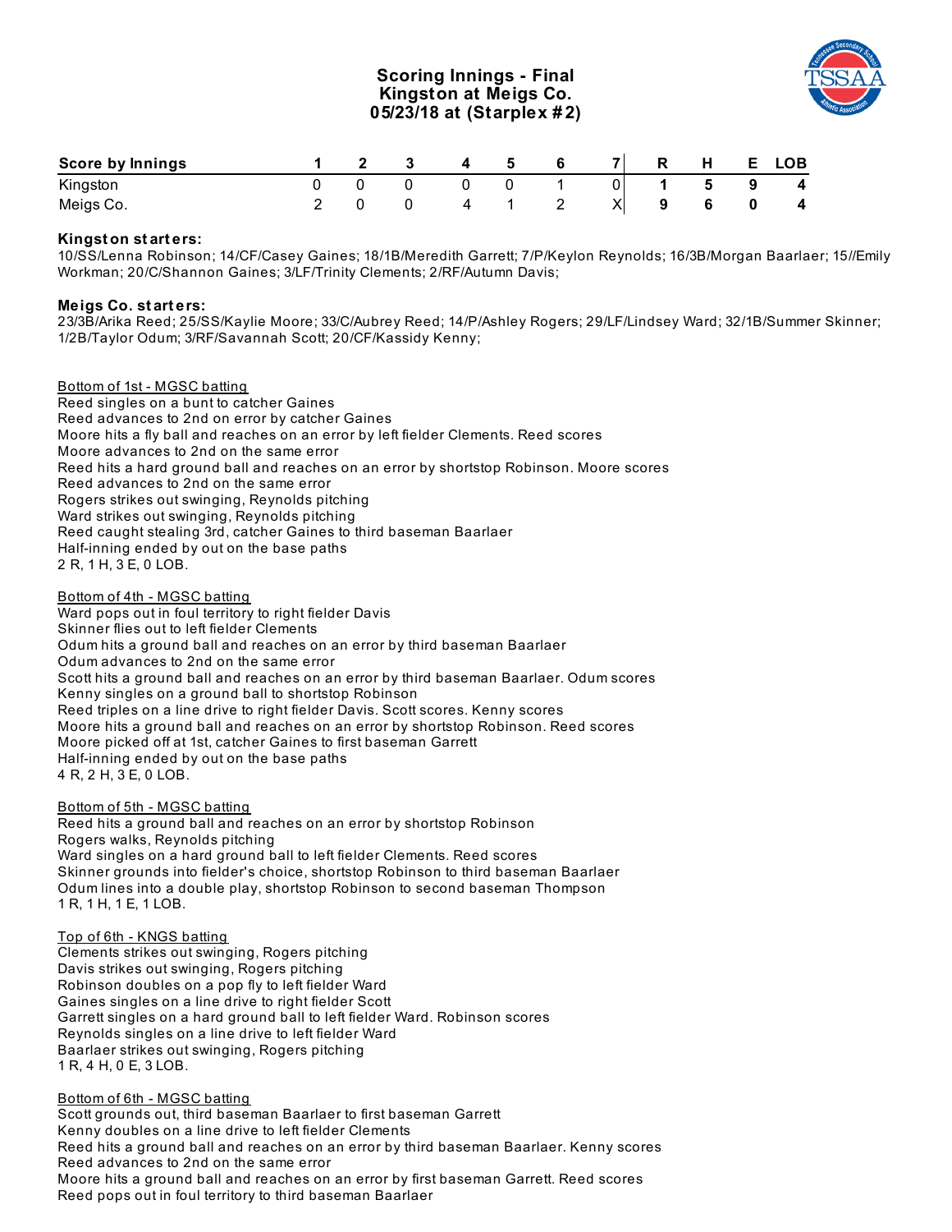## **Scoring Innings - Final Kingston at Meigs Co. 05/23/18 at (Starplex # 2)**



| Score by Innings |  | $\overline{\mathbf{4}}$ | 5 | - 6 | <b>71</b>      | R | H           |   | E LOB                   |
|------------------|--|-------------------------|---|-----|----------------|---|-------------|---|-------------------------|
| Kingston         |  |                         |   |     | $\overline{0}$ |   | $5^{\circ}$ | 9 | $\overline{\mathbf{4}}$ |
| Meigs Co.        |  |                         |   |     | ΧI             | 9 | 6           |   | $\overline{4}$          |

## **Kingst on st art ers:**

10/SS/Lenna Robinson; 14/CF/Casey Gaines; 18/1B/Meredith Garrett; 7/P/Keylon Reynolds; 16/3B/Morgan Baarlaer; 15//Emily Workman; 20/C/Shannon Gaines; 3/LF/Trinity Clements; 2/RF/Autumn Davis;

#### **Meigs Co. st art ers:**

23/3B/Arika Reed; 25/SS/Kaylie Moore; 33/C/Aubrey Reed; 14/P/Ashley Rogers; 29/LF/Lindsey Ward; 32/1B/Summer Skinner; 1/2B/Taylor Odum; 3/RF/Savannah Scott; 20/CF/Kassidy Kenny;

Bottom of 1st - MGSC batting Reed singles on a bunt to catcher Gaines Reed advances to 2nd on error by catcher Gaines Moore hits a fly ball and reaches on an error by left fielder Clements. Reed scores Moore advances to 2nd on the same error Reed hits a hard ground ball and reaches on an error by shortstop Robinson. Moore scores Reed advances to 2nd on the same error Rogers strikes out swinging, Reynolds pitching Ward strikes out swinging, Reynolds pitching Reed caught stealing 3rd, catcher Gaines to third baseman Baarlaer Half-inning ended by out on the base paths 2 R, 1 H, 3 E, 0 LOB.

Bottom of 4th - MGSC batting Ward pops out in foul territory to right fielder Davis Skinner flies out to left fielder Clements Odum hits a ground ball and reaches on an error by third baseman Baarlaer Odum advances to 2nd on the same error Scott hits a ground ball and reaches on an error by third baseman Baarlaer. Odum scores Kenny singles on a ground ball to shortstop Robinson Reed triples on a line drive to right fielder Davis. Scott scores. Kenny scores Moore hits a ground ball and reaches on an error by shortstop Robinson. Reed scores Moore picked off at 1st, catcher Gaines to first baseman Garrett Half-inning ended by out on the base paths 4 R, 2 H, 3 E, 0 LOB.

#### Bottom of 5th - MGSC batting

Reed hits a ground ball and reaches on an error by shortstop Robinson Rogers walks, Reynolds pitching Ward singles on a hard ground ball to left fielder Clements. Reed scores Skinner grounds into fielder's choice, shortstop Robinson to third baseman Baarlaer Odum lines into a double play, shortstop Robinson to second baseman Thompson 1 R, 1 H, 1 E, 1 LOB.

#### Top of 6th - KNGS batting

Clements strikes out swinging, Rogers pitching Davis strikes out swinging, Rogers pitching Robinson doubles on a pop fly to left fielder Ward Gaines singles on a line drive to right fielder Scott Garrett singles on a hard ground ball to left fielder Ward. Robinson scores Reynolds singles on a line drive to left fielder Ward Baarlaer strikes out swinging, Rogers pitching 1 R, 4 H, 0 E, 3 LOB.

Bottom of 6th - MGSC batting

Scott grounds out, third baseman Baarlaer to first baseman Garrett Kenny doubles on a line drive to left fielder Clements Reed hits a ground ball and reaches on an error by third baseman Baarlaer. Kenny scores Reed advances to 2nd on the same error Moore hits a ground ball and reaches on an error by first baseman Garrett. Reed scores Reed pops out in foul territory to third baseman Baarlaer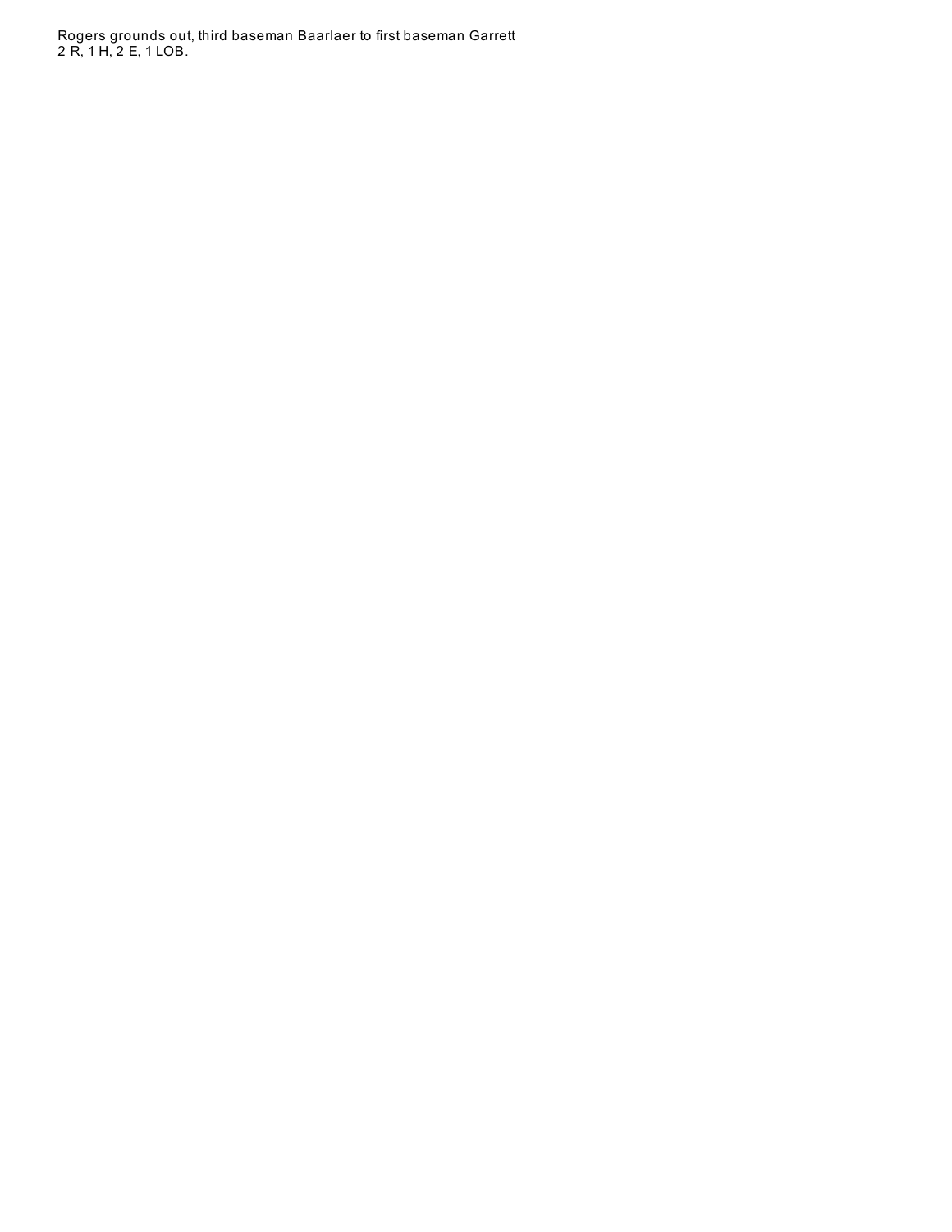Rogers grounds out, third baseman Baarlaer to first baseman Garrett 2 R, 1 H, 2 E, 1 L O B.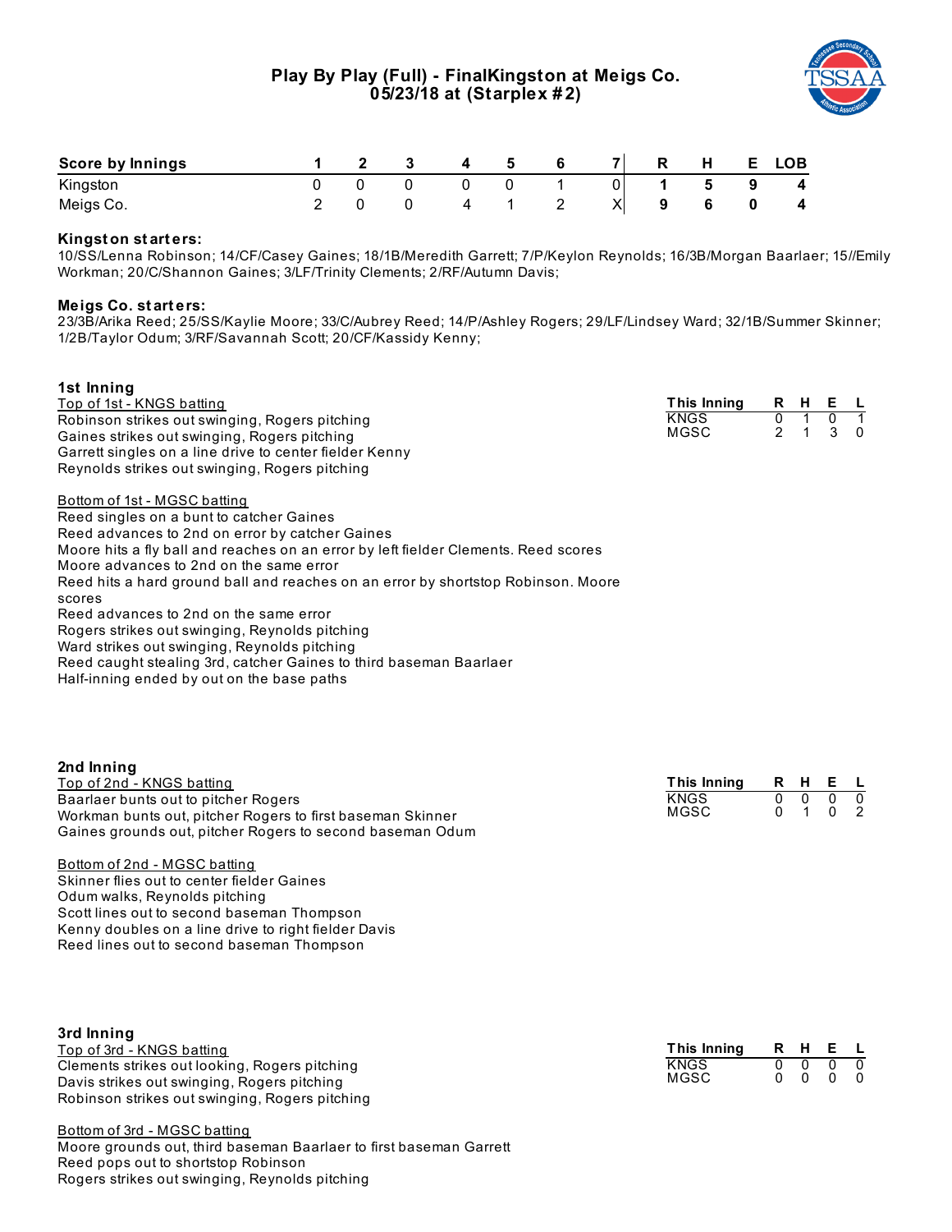

| <b>Score by Innings</b> |  |  |  | $\overline{7}$ | $\mathsf{R}$ | Н | E. | LOB |
|-------------------------|--|--|--|----------------|--------------|---|----|-----|
| Kingston                |  |  |  |                |              |   |    | -4  |
| Meigs Co.               |  |  |  |                |              |   |    | 4   |

### **Kingst on st art ers:**

10/SS/Lenna Robinson; 14/CF/Casey Gaines; 18/1B/Meredith Garrett; 7/P/Keylon Reynolds; 16/3B/Morgan Baarlaer; 15//Emily Workman; 20/C/Shannon Gaines; 3/LF/Trinity Clements; 2/RF/Autumn Davis;

#### **Meigs Co. st art ers:**

**2nd Inning**

23/3B/Arika Reed; 25/SS/Kaylie Moore; 33/C/Aubrey Reed; 14/P/Ashley Rogers; 29/LF/Lindsey Ward; 32/1B/Summer Skinner; 1/2B/Taylor Odum; 3/RF/Savannah Scott; 20/CF/Kassidy Kenny;

## **1st Inning** Top of 1st - KNGS batting Robinson strikes out swinging, Rogers pitching Gaines strikes out swinging, Rogers pitching Garrett singles on a line drive to center fielder Kenny Reynolds strikes out swinging, Rogers pitching Bottom of 1st - MGSC batting Reed singles on a bunt to catcher Gaines Reed advances to 2nd on error by catcher Gaines Moore hits a fly ball and reaches on an error by left fielder Clements. Reed scores Moore advances to 2nd on the same error Reed hits a hard ground ball and reaches on an error by shortstop Robinson. Moore scores Reed advances to 2nd on the same error Rogers strikes out swinging, Reynolds pitching Ward strikes out swinging, Reynolds pitching Reed caught stealing 3rd, catcher Gaines to third baseman Baarlaer Half-inning ended by out on the base paths **This Inning R H E L** KNGS  $MGSC$

| __________________                                         |             |  |                          |  |
|------------------------------------------------------------|-------------|--|--------------------------|--|
| Top of 2nd - KNGS batting                                  | This Inning |  | R H E L                  |  |
| Baarlaer bunts out to pitcher Rogers                       | <b>KNGS</b> |  | $0\quad 0\quad 0\quad 0$ |  |
| Workman bunts out, pitcher Rogers to first baseman Skinner | MGSC        |  | 0 1 0 2                  |  |
| Gaines grounds out, pitcher Rogers to second baseman Odum  |             |  |                          |  |
|                                                            |             |  |                          |  |

Bottom of 2nd - MGSC batting Skinner flies out to center fielder Gaines Odum walks, Reynolds pitching Scott lines out to second baseman Thompson Kenny doubles on a line drive to right fielder Davis Reed lines out to second baseman Thompson

| 3rd Inning<br>Top of 3rd - KNGS batting                                                                                                        | This Inning         |               | R H E L    |            |
|------------------------------------------------------------------------------------------------------------------------------------------------|---------------------|---------------|------------|------------|
| Clements strikes out looking, Rogers pitching<br>Davis strikes out swinging, Rogers pitching<br>Robinson strikes out swinging, Rogers pitching | <b>KNGS</b><br>MGSC | $\cap$<br>n n | $0\quad 0$ | $0\quad 0$ |

Bottom of 3rd - MGSC batting Moore grounds out, third baseman Baarlaer to first baseman Garrett Reed pops out to shortstop Robinson Rogers strikes out swinging, Reynolds pitching

| This Inning | R. | н            | E.           |   |
|-------------|----|--------------|--------------|---|
| KNGS        |    | n            | n            | n |
| MGSC        |    | $\mathbf{u}$ | $\mathbf{U}$ | n |
|             |    |              |              |   |